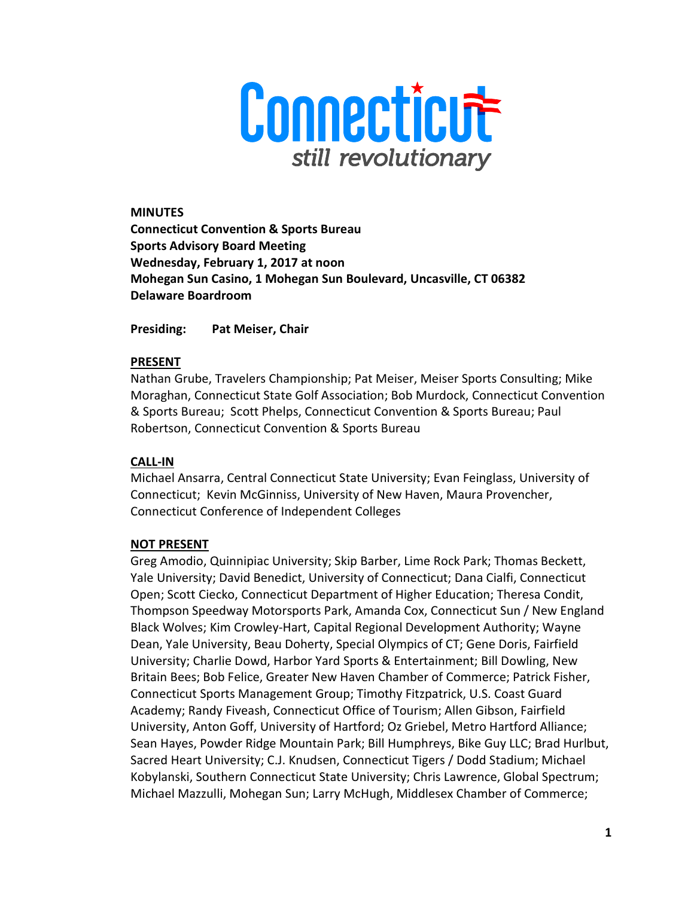

MINUTES Connecticut Convention & Sports Bureau Sports Advisory Board Meeting Wednesday, February 1, 2017 at noon Mohegan Sun Casino, 1 Mohegan Sun Boulevard, Uncasville, CT 06382 Delaware Boardroom

Presiding: Pat Meiser, Chair

### PRESENT

Nathan Grube, Travelers Championship; Pat Meiser, Meiser Sports Consulting; Mike Moraghan, Connecticut State Golf Association; Bob Murdock, Connecticut Convention & Sports Bureau; Scott Phelps, Connecticut Convention & Sports Bureau; Paul Robertson, Connecticut Convention & Sports Bureau

## CALL-IN

Michael Ansarra, Central Connecticut State University; Evan Feinglass, University of Connecticut; Kevin McGinniss, University of New Haven, Maura Provencher, Connecticut Conference of Independent Colleges

## NOT PRESENT

Greg Amodio, Quinnipiac University; Skip Barber, Lime Rock Park; Thomas Beckett, Yale University; David Benedict, University of Connecticut; Dana Cialfi, Connecticut Open; Scott Ciecko, Connecticut Department of Higher Education; Theresa Condit, Thompson Speedway Motorsports Park, Amanda Cox, Connecticut Sun / New England Black Wolves; Kim Crowley-Hart, Capital Regional Development Authority; Wayne Dean, Yale University, Beau Doherty, Special Olympics of CT; Gene Doris, Fairfield University; Charlie Dowd, Harbor Yard Sports & Entertainment; Bill Dowling, New Britain Bees; Bob Felice, Greater New Haven Chamber of Commerce; Patrick Fisher, Connecticut Sports Management Group; Timothy Fitzpatrick, U.S. Coast Guard Academy; Randy Fiveash, Connecticut Office of Tourism; Allen Gibson, Fairfield University, Anton Goff, University of Hartford; Oz Griebel, Metro Hartford Alliance; Sean Hayes, Powder Ridge Mountain Park; Bill Humphreys, Bike Guy LLC; Brad Hurlbut, Sacred Heart University; C.J. Knudsen, Connecticut Tigers / Dodd Stadium; Michael Kobylanski, Southern Connecticut State University; Chris Lawrence, Global Spectrum; Michael Mazzulli, Mohegan Sun; Larry McHugh, Middlesex Chamber of Commerce;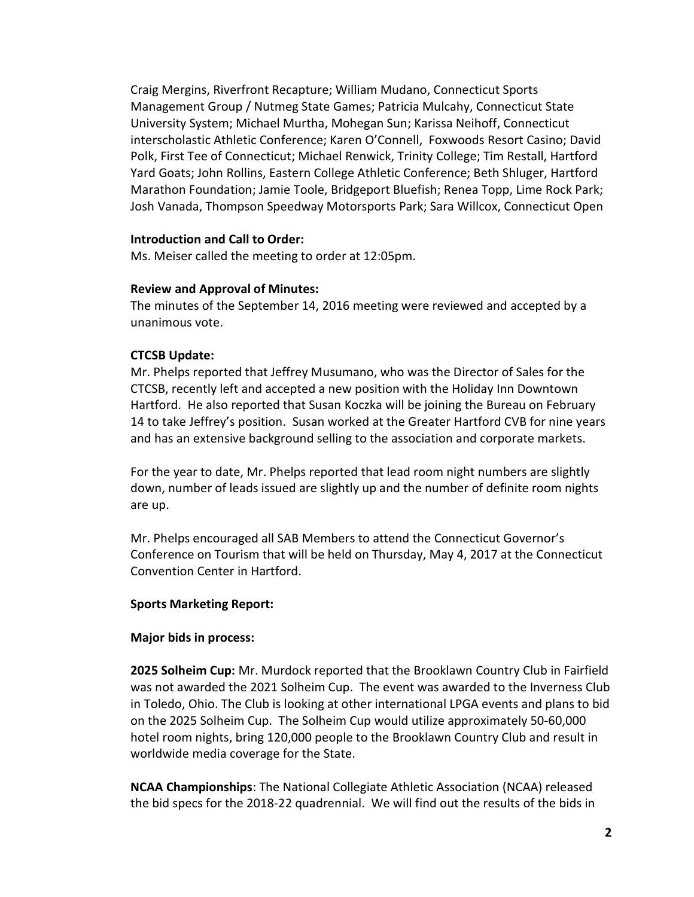Craig Mergins, Riverfront Recapture; William Mudano, Connecticut Sports Management Group / Nutmeg State Games; Patricia Mulcahy, Connecticut State University System; Michael Murtha, Mohegan Sun; Karissa Neihoff, Connecticut interscholastic Athletic Conference; Karen O'Connell, Foxwoods Resort Casino; David Polk, First Tee of Connecticut; Michael Renwick, Trinity College; Tim Restall, Hartford Yard Goats; John Rollins, Eastern College Athletic Conference; Beth Shluger, Hartford Marathon Foundation; Jamie Toole, Bridgeport Bluefish; Renea Topp, Lime Rock Park; Josh Vanada, Thompson Speedway Motorsports Park; Sara Willcox, Connecticut Open

### Introduction and Call to Order:

Ms. Meiser called the meeting to order at 12:05pm.

### Review and Approval of Minutes:

The minutes of the September 14, 2016 meeting were reviewed and accepted by a unanimous vote.

## CTCSB Update:

Mr. Phelps reported that Jeffrey Musumano, who was the Director of Sales for the CTCSB, recently left and accepted a new position with the Holiday Inn Downtown Hartford. He also reported that Susan Koczka will be joining the Bureau on February 14 to take Jeffrey's position. Susan worked at the Greater Hartford CVB for nine years and has an extensive background selling to the association and corporate markets.

For the year to date, Mr. Phelps reported that lead room night numbers are slightly down, number of leads issued are slightly up and the number of definite room nights are up.

Mr. Phelps encouraged all SAB Members to attend the Connecticut Governor's Conference on Tourism that will be held on Thursday, May 4, 2017 at the Connecticut Convention Center in Hartford.

## Sports Marketing Report:

#### Major bids in process:

2025 Solheim Cup: Mr. Murdock reported that the Brooklawn Country Club in Fairfield was not awarded the 2021 Solheim Cup. The event was awarded to the Inverness Club in Toledo, Ohio. The Club is looking at other international LPGA events and plans to bid on the 2025 Solheim Cup. The Solheim Cup would utilize approximately 50-60,000 hotel room nights, bring 120,000 people to the Brooklawn Country Club and result in worldwide media coverage for the State.

NCAA Championships: The National Collegiate Athletic Association (NCAA) released the bid specs for the 2018-22 quadrennial. We will find out the results of the bids in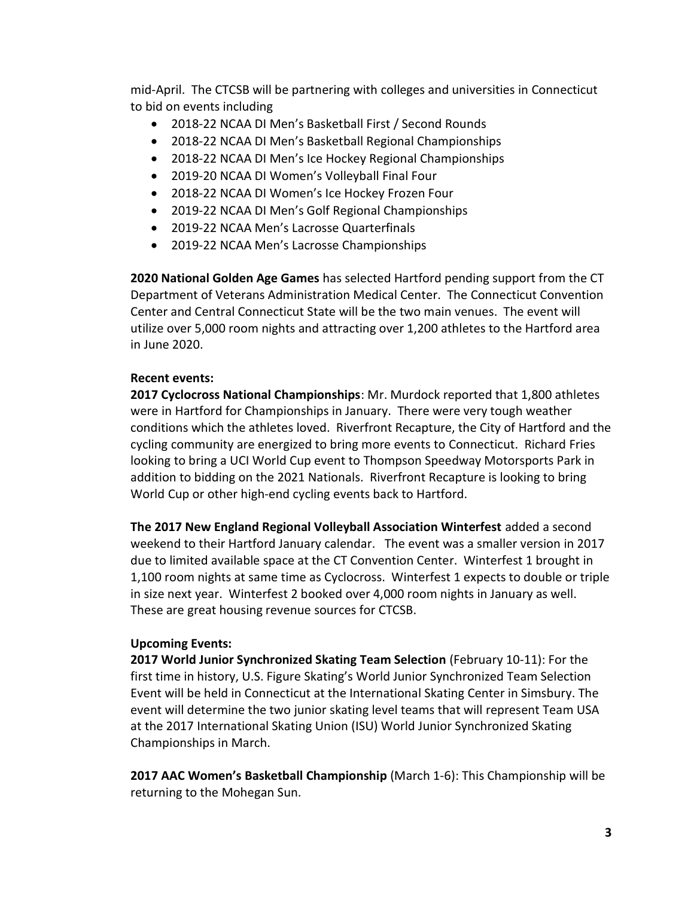mid-April. The CTCSB will be partnering with colleges and universities in Connecticut to bid on events including

- 2018-22 NCAA DI Men's Basketball First / Second Rounds
- 2018-22 NCAA DI Men's Basketball Regional Championships
- 2018-22 NCAA DI Men's Ice Hockey Regional Championships
- 2019-20 NCAA DI Women's Volleyball Final Four
- 2018-22 NCAA DI Women's Ice Hockey Frozen Four
- 2019-22 NCAA DI Men's Golf Regional Championships
- 2019-22 NCAA Men's Lacrosse Quarterfinals
- 2019-22 NCAA Men's Lacrosse Championships

2020 National Golden Age Games has selected Hartford pending support from the CT Department of Veterans Administration Medical Center. The Connecticut Convention Center and Central Connecticut State will be the two main venues. The event will utilize over 5,000 room nights and attracting over 1,200 athletes to the Hartford area in June 2020.

# Recent events:

2017 Cyclocross National Championships: Mr. Murdock reported that 1,800 athletes were in Hartford for Championships in January. There were very tough weather conditions which the athletes loved. Riverfront Recapture, the City of Hartford and the cycling community are energized to bring more events to Connecticut. Richard Fries looking to bring a UCI World Cup event to Thompson Speedway Motorsports Park in addition to bidding on the 2021 Nationals. Riverfront Recapture is looking to bring World Cup or other high-end cycling events back to Hartford.

The 2017 New England Regional Volleyball Association Winterfest added a second weekend to their Hartford January calendar. The event was a smaller version in 2017 due to limited available space at the CT Convention Center. Winterfest 1 brought in 1,100 room nights at same time as Cyclocross. Winterfest 1 expects to double or triple in size next year. Winterfest 2 booked over 4,000 room nights in January as well. These are great housing revenue sources for CTCSB.

# Upcoming Events:

2017 World Junior Synchronized Skating Team Selection (February 10-11): For the first time in history, U.S. Figure Skating's World Junior Synchronized Team Selection Event will be held in Connecticut at the International Skating Center in Simsbury. The event will determine the two junior skating level teams that will represent Team USA at the 2017 International Skating Union (ISU) World Junior Synchronized Skating Championships in March.

2017 AAC Women's Basketball Championship (March 1-6): This Championship will be returning to the Mohegan Sun.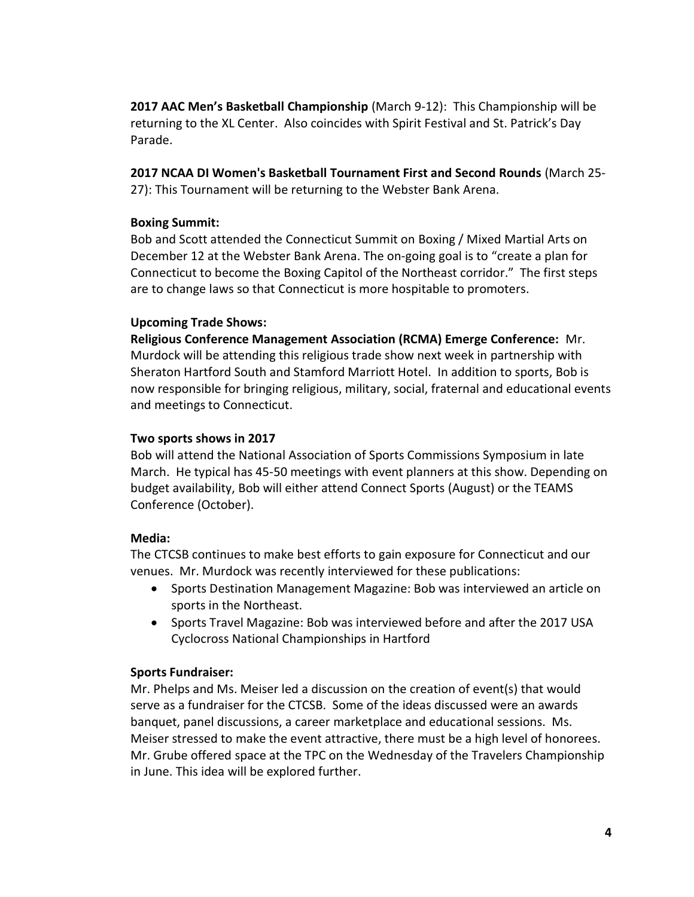2017 AAC Men's Basketball Championship (March 9-12): This Championship will be returning to the XL Center. Also coincides with Spirit Festival and St. Patrick's Day Parade.

2017 NCAA DI Women's Basketball Tournament First and Second Rounds (March 25- 27): This Tournament will be returning to the Webster Bank Arena.

# Boxing Summit:

Bob and Scott attended the Connecticut Summit on Boxing / Mixed Martial Arts on December 12 at the Webster Bank Arena. The on-going goal is to "create a plan for Connecticut to become the Boxing Capitol of the Northeast corridor." The first steps are to change laws so that Connecticut is more hospitable to promoters.

## Upcoming Trade Shows:

Religious Conference Management Association (RCMA) Emerge Conference: Mr. Murdock will be attending this religious trade show next week in partnership with Sheraton Hartford South and Stamford Marriott Hotel. In addition to sports, Bob is now responsible for bringing religious, military, social, fraternal and educational events and meetings to Connecticut.

# Two sports shows in 2017

Bob will attend the National Association of Sports Commissions Symposium in late March. He typical has 45-50 meetings with event planners at this show. Depending on budget availability, Bob will either attend Connect Sports (August) or the TEAMS Conference (October).

# Media:

The CTCSB continues to make best efforts to gain exposure for Connecticut and our venues. Mr. Murdock was recently interviewed for these publications:

- Sports Destination Management Magazine: Bob was interviewed an article on sports in the Northeast.
- Sports Travel Magazine: Bob was interviewed before and after the 2017 USA Cyclocross National Championships in Hartford

# Sports Fundraiser:

Mr. Phelps and Ms. Meiser led a discussion on the creation of event(s) that would serve as a fundraiser for the CTCSB. Some of the ideas discussed were an awards banquet, panel discussions, a career marketplace and educational sessions. Ms. Meiser stressed to make the event attractive, there must be a high level of honorees. Mr. Grube offered space at the TPC on the Wednesday of the Travelers Championship in June. This idea will be explored further.